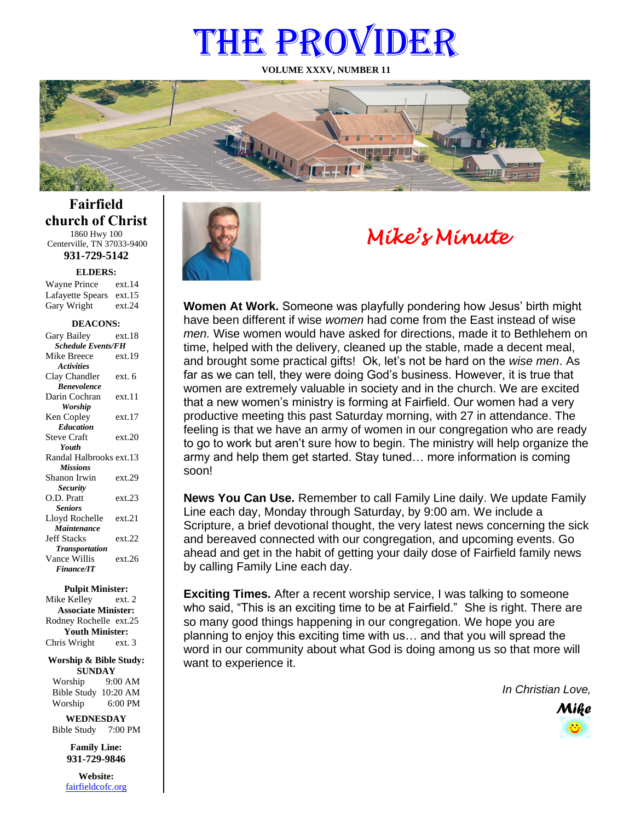# THE PROVIDER

**VOLUME XXXV, NUMBER 11**



**Fairfield church of Christ** 1860 Hwy 100 Centerville, TN 37033-9400

**931-729-5142**

**ELDERS:**

Gary Wright ext.24 Wayne Prince ext.14 Lafayette Spears ext.15

#### **DEACONS:**

| Gary Bailey               | ext 18 |
|---------------------------|--------|
| <b>Schedule Events/FH</b> |        |
| Mike Breece               | ext.19 |
| <b>Activities</b>         |        |
| Clay Chandler             | ext. 6 |
| <b>Benevolence</b>        |        |
| Darin Cochran             | ext.11 |
| <b>Worship</b>            |        |
| Ken Copley                | ext.17 |
| <b>Education</b>          |        |
| <b>Steve Craft</b>        | ext.20 |
| Youth                     |        |
| Randal Halbrooks ext.13   |        |
| <b>Missions</b>           |        |
| Shanon Irwin              | ext.29 |
| <b>Security</b>           |        |
| O.D. Pratt                | ext.23 |
| <b>Seniors</b>            |        |
| Lloyd Rochelle            | ext.21 |
| Maintenance               |        |
| <b>Jeff Stacks</b>        | ext.22 |
| <b>Transportation</b>     |        |
| Vance Willis              | ext.26 |
| <b>Finance/IT</b>         |        |

#### **Pulpit Minister:**

Mike Kelley ext. 2 **Associate Minister:** Rodney Rochelle ext.25 **Youth Minister:** Chris Wright ext. 3

#### **Worship & Bible Study: SUNDAY**

Worship 9:00 AM Bible Study 10:20 AM Worship 6:00 PM

**WEDNESDAY** Bible Study 7:00 PM

> **Family Line: 931-729-9846**

**Website:** [fairfieldcofc.org](file:///C:/Users/RickJoyce/Documents/Fairfield%20Website%20Files/fairfieldchurchofchrist.org)



# *Mike's Minute*

**Women At Work.** Someone was playfully pondering how Jesus' birth might have been different if wise *women* had come from the East instead of wise *men.* Wise women would have asked for directions, made it to Bethlehem on time, helped with the delivery, cleaned up the stable, made a decent meal, and brought some practical gifts! Ok, let's not be hard on the *wise men*. As far as we can tell, they were doing God's business. However, it is true that women are extremely valuable in society and in the church. We are excited that a new women's ministry is forming at Fairfield. Our women had a very productive meeting this past Saturday morning, with 27 in attendance. The feeling is that we have an army of women in our congregation who are ready to go to work but aren't sure how to begin. The ministry will help organize the army and help them get started. Stay tuned… more information is coming soon!

**News You Can Use.** Remember to call Family Line daily. We update Family Line each day, Monday through Saturday, by 9:00 am. We include a Scripture, a brief devotional thought, the very latest news concerning the sick and bereaved connected with our congregation, and upcoming events. Go ahead and get in the habit of getting your daily dose of Fairfield family news by calling Family Line each day.

**Exciting Times.** After a recent worship service, I was talking to someone who said, "This is an exciting time to be at Fairfield." She is right. There are so many good things happening in our congregation. We hope you are planning to enjoy this exciting time with us… and that you will spread the word in our community about what God is doing among us so that more will want to experience it.

*In Christian Love,*

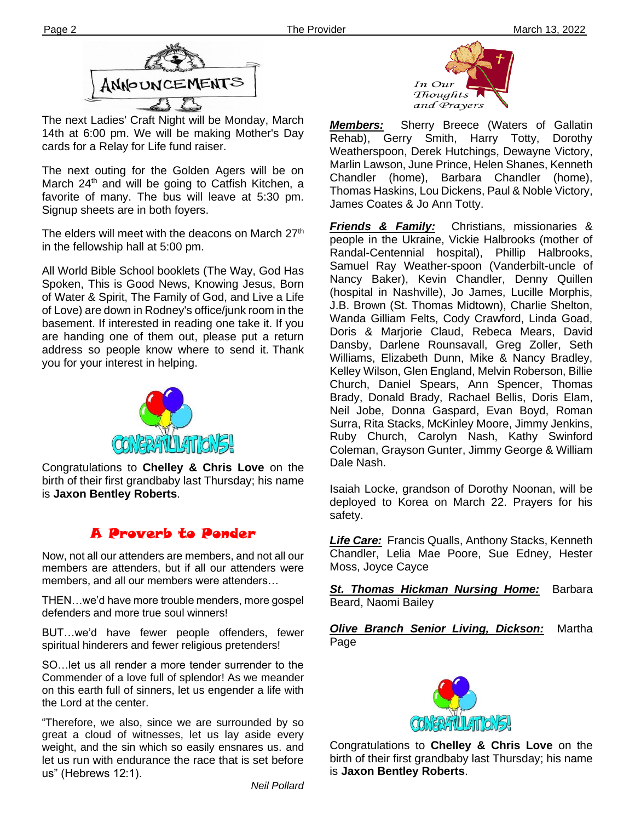

The next Ladies' Craft Night will be Monday, March 14th at 6:00 pm. We will be making Mother's Day cards for a Relay for Life fund raiser.

**Ther** Signup sheets are in both foyers. The next outing for the Golden Agers will be on March 24<sup>th</sup> and will be going to Catfish Kitchen, a favorite of many. The bus will leave at 5:30 pm.

The elders will meet with the deacons on March 27<sup>th</sup> in the fellowship hall at 5:00 pm.

All World Bible School booklets (The Way, God Has Spoken, This is Good News, Knowing Jesus, Born of Water & Spirit, The Family of God, and Live a Life of Love) are down in Rodney's office/junk room in the basement. If interested in reading one take it. If you are handing one of them out, please put a return address so people know where to send it. Thank you for your interest in helping.



Congratulations to **Chelley & Chris Love** on the birth of their first grandbaby last Thursday; his name is **Jaxon Bentley Roberts**.

# A Proverb to Ponder

Now, not all our attenders are members, and not all our members are attenders, but if all our attenders were members, and all our members were attenders…

**filem** THEN…we'd have more trouble menders, more gospel defenders and more true soul winners!

BUT…we'd have fewer people offenders, fewer spiritual hinderers and fewer religious pretenders!

SO…let us all render a more tender surrender to the Commender of a love full of splendor! As we meander on this earth full of sinners, let us engender a life with the Lord at the center.

"Therefore, we also, since we are surrounded by so great a cloud of witnesses, let us lay aside every weight, and the sin which so easily ensnares us. and let us run with endurance the race that is set before us" (Hebrews 12:1).



*Members:* Sherry Breece (Waters of Gallatin Rehab), Gerry Smith, Harry Totty, Dorothy Weatherspoon, Derek Hutchings, Dewayne Victory, Marlin Lawson, June Prince, Helen Shanes, Kenneth Chandler (home), Barbara Chandler (home), Thomas Haskins, Lou Dickens, Paul & Noble Victory, James Coates & Jo Ann Totty.

*Friends & Family:* Christians, missionaries & people in the Ukraine, Vickie Halbrooks (mother of Randal-Centennial hospital), Phillip Halbrooks, Samuel Ray Weather-spoon (Vanderbilt-uncle of Nancy Baker), Kevin Chandler, Denny Quillen (hospital in Nashville), Jo James, Lucille Morphis, J.B. Brown (St. Thomas Midtown), Charlie Shelton, Wanda Gilliam Felts, Cody Crawford, Linda Goad, Doris & Marjorie Claud, Rebeca Mears, David Dansby, Darlene Rounsavall, Greg Zoller, Seth Williams, Elizabeth Dunn, Mike & Nancy Bradley, Kelley Wilson, Glen England, Melvin Roberson, Billie Church, Daniel Spears, Ann Spencer, Thomas Brady, Donald Brady, Rachael Bellis, Doris Elam, Neil Jobe, Donna Gaspard, Evan Boyd, Roman Surra, Rita Stacks, McKinley Moore, Jimmy Jenkins, Ruby Church, Carolyn Nash, Kathy Swinford Coleman, Grayson Gunter, Jimmy George & William Dale Nash.

Isaiah Locke, grandson of Dorothy Noonan, will be deployed to Korea on March 22. Prayers for his safety.

*Life Care:* Francis Qualls, Anthony Stacks, Kenneth Chandler, Lelia Mae Poore, Sue Edney, Hester Moss, Joyce Cayce

*St. Thomas Hickman Nursing Home:* Barbara Beard, Naomi Bailey

*Olive Branch Senior Living, Dickson:* Martha Page



Congratulations to **Chelley & Chris Love** on the birth of their first grandbaby last Thursday; his name is **Jaxon Bentley Roberts**.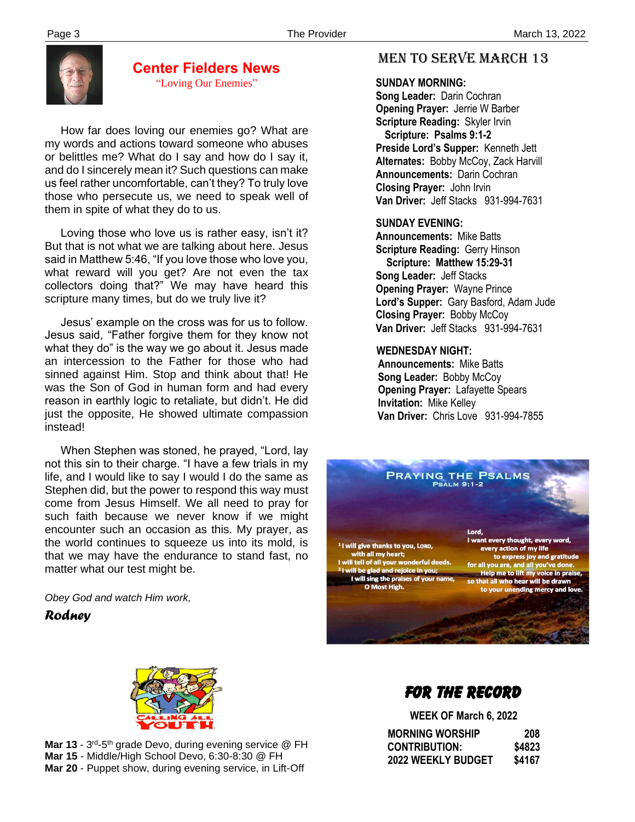

#### **Center Fielders News** "Loving Our Enemies"

 How far does loving our enemies go? What are my words and actions toward someone who abuses or belittles me? What do I say and how do I say it, and do I sincerely mean it? Such questions can make us feel rather uncomfortable, can't they? To truly love those who persecute us, we need to speak well of them in spite of what they do to us.

 Loving those who love us is rather easy, isn't it? But that is not what we are talking about here. Jesus said in Matthew 5:46, "If you love those who love you, what reward will you get? Are not even the tax collectors doing that?" We may have heard this scripture many times, but do we truly live it?

 Jesus' example on the cross was for us to follow. Jesus said, "Father forgive them for they know not what they do" is the way we go about it. Jesus made an intercession to the Father for those who had sinned against Him. Stop and think about that! He was the Son of God in human form and had every reason in earthly logic to retaliate, but didn't. He did just the opposite, He showed ultimate compassion instead!

 When Stephen was stoned, he prayed, "Lord, lay not this sin to their charge. "I have a few trials in my life, and I would like to say I would I do the same as Stephen did, but the power to respond this way must come from Jesus Himself. We all need to pray for such faith because we never know if we might encounter such an occasion as this. My prayer, as the world continues to squeeze us into its mold, is that we may have the endurance to stand fast, no matter what our test might be.

*Obey God and watch Him work,*

*Rodney*

## MEN TO SERVE march 13

#### **SUNDAY MORNING:**

**Song Leader:** Darin Cochran  **Opening Prayer:** Jerrie W Barber **Scripture Reading:** Skyler Irvin  **Scripture: Psalms 9:1-2 Preside Lord's Supper:** Kenneth Jett  **Alternates:** Bobby McCoy, Zack Harvill  **Announcements:** Darin Cochran  **Closing Prayer:** John Irvin **Van Driver:** Jeff Stacks 931-994-7631

#### **SUNDAY EVENING:**

**Announcements:** Mike Batts **Scripture Reading:** Gerry Hinson  **Scripture: Matthew 15:29-31 Song Leader:** Jeff Stacks **Opening Prayer:** Wayne Prince **Lord's Supper:** Gary Basford, Adam Jude **Closing Prayer:** Bobby McCoy **Van Driver:** Jeff Stacks 931-994-7631

#### **WEDNESDAY NIGHT:**

**Announcements:** Mike Batts **Song Leader:** Bobby McCoy **Opening Prayer:** Lafayette Spears **Invitation:** Mike Kelley  **Van Driver:** Chris Love 931-994-7855





Mar 13 - 3<sup>rd</sup>-5<sup>th</sup> grade Devo, during evening service @ FH **Mar 15** - Middle/High School Devo, 6:30-8:30 @ FH **Mar 20** - Puppet show, during evening service, in Lift-Off

# FOR THE RECORD

 **WEEK OF March 6, 2022 MORNING WORSHIP 208 CONTRIBUTION: \$4823 2022 WEEKLY BUDGET \$4167**